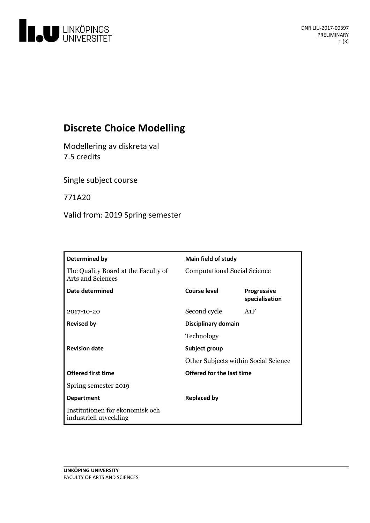

# **Discrete Choice Modelling**

Modellering av diskreta val 7.5 credits

Single subject course

771A20

Valid from: 2019 Spring semester

| Determined by                                                   | <b>Main field of study</b>           |                               |
|-----------------------------------------------------------------|--------------------------------------|-------------------------------|
| The Quality Board at the Faculty of<br><b>Arts and Sciences</b> | <b>Computational Social Science</b>  |                               |
| Date determined                                                 | Course level                         | Progressive<br>specialisation |
| 2017-10-20                                                      | Second cycle                         | A1F                           |
| <b>Revised by</b>                                               | Disciplinary domain                  |                               |
|                                                                 | Technology                           |                               |
| <b>Revision date</b>                                            | Subject group                        |                               |
|                                                                 | Other Subjects within Social Science |                               |
| <b>Offered first time</b>                                       | Offered for the last time            |                               |
| Spring semester 2019                                            |                                      |                               |
| <b>Department</b>                                               | <b>Replaced by</b>                   |                               |
| Institutionen för ekonomisk och<br>industriell utveckling       |                                      |                               |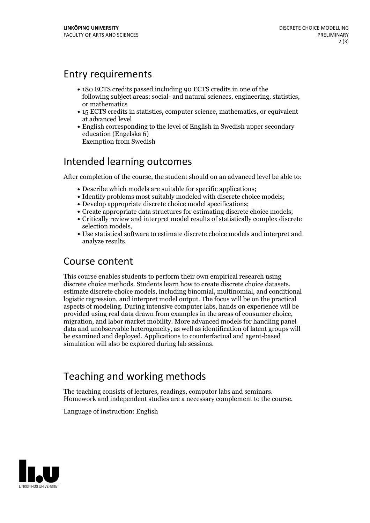#### Entry requirements

- 180 ECTS credits passed including 90 ECTS credits in one of the following subject areas: social- and natural sciences, engineering, statistics, or mathematics
- 15 ECTS credits in statistics, computer science, mathematics, or equivalent at advanced level
- English corresponding to the level of English in Swedish upper secondary education (Engelska 6) Exemption from Swedish

# Intended learning outcomes

After completion of the course, the student should on an advanced level be able to:

- Describe which models are suitable for specific applications;
- Identify problems most suitably modeled with discrete choice models;
- Develop appropriate discrete choice model specifications;
- Create appropriate data structures for estimating discrete choice models;
- Critically review and interpret model results of statistically complex discrete selection models,<br>• Use statistical software to estimate discrete choice models and interpret and
- analyze results.

### Course content

This course enables students to perform their own empirical research using discrete choice methods. Students learn how to create discrete choice datasets, estimate discrete choice models, including binomial, multinomial, and conditional logistic regression, and interpret model output. The focus will be on the practical aspects of modeling. During intensive computer labs, hands on experience will be provided using real data drawn from examples in the areas of consumer choice, migration, and labor market mobility. More advanced models for handling panel data and unobservable heterogeneity, as well as identification of latent groups will be examined and deployed. Applications to counterfactual and agent-based simulation will also be explored during lab sessions.

# Teaching and working methods

The teaching consists of lectures, readings, computor labs and seminars. Homework and independent studies are <sup>a</sup> necessary complement to the course.

Language of instruction: English